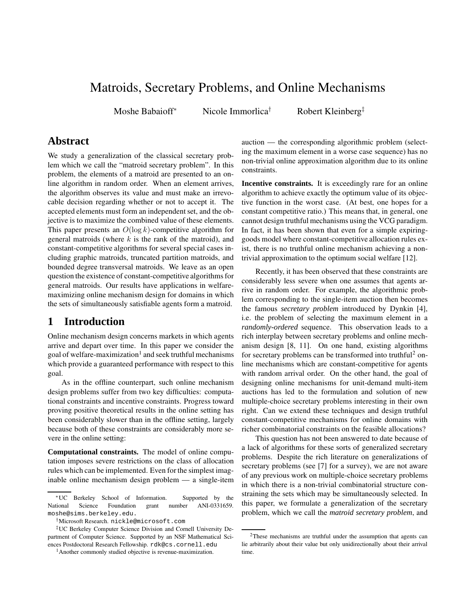# Matroids, Secretary Problems, and Online Mechanisms

Moshe Babaioff

Nicole Immorlica<sup>†</sup>

Robert Kleinberg<sup>‡</sup>

# **Abstract**

We study a generalization of the classical secretary problem which we call the "matroid secretary problem". In this problem, the elements of a matroid are presented to an online algorithm in random order. When an element arrives, the algorithm observes its value and must make an irrevocable decision regarding whether or not to accept it. The accepted elements must form an independent set, and the objective is to maximize the combined value of these elements. This paper presents an  $O(\log k)$ -competitive algorithm for general matroids (where  $k$  is the rank of the matroid), and constant-competitive algorithms for several special cases including graphic matroids, truncated partition matroids, and bounded degree transversal matroids. We leave as an open question the existence of constant-competitive algorithms for general matroids. Our results have applications in welfaremaximizing online mechanism design for domains in which the sets of simultaneously satisfiable agents form a matroid.

# **1 Introduction**

Online mechanism design concerns markets in which agents arrive and depart over time. In this paper we consider the goal of welfare-maximization<sup>1</sup> and seek truthful mechanisms which provide a guaranteed performance with respect to this goal.

As in the offline counterpart, such online mechanism design problems suffer from two key difficulties: computational constraints and incentive constraints. Progress toward proving positive theoretical results in the online setting has been considerably slower than in the offline setting, largely because both of these constraints are considerably more severe in the online setting:

**Computational constraints.** The model of online computation imposes severe restrictions on the class of allocation rules which can be implemented. Even for the simplest imaginable online mechanism design problem — a single-item auction — the corresponding algorithmic problem (selecting the maximum element in a worse case sequence) has no non-trivial online approximation algorithm due to its online constraints.

**Incentive constraints.** It is exceedingly rare for an online algorithm to achieve exactly the optimum value of its objective function in the worst case. (At best, one hopes for a constant competitive ratio.) This means that, in general, one cannot design truthful mechanisms using the VCG paradigm. In fact, it has been shown that even for a simple expiringgoods model where constant-competitive allocation rules exist, there is no truthful online mechanism achieving a nontrivial approximation to the optimum social welfare [12].

Recently, it has been observed that these constraints are considerably less severe when one assumes that agents arrive in random order. For example, the algorithmic problem corresponding to the single-item auction then becomes the famous *secretary problem* introduced by Dynkin [4], i.e. the problem of selecting the maximum element in a *randomly-ordered* sequence. This observation leads to a rich interplay between secretary problems and online mechanism design [8, 11]. On one hand, existing algorithms for secretary problems can be transformed into truthful<sup>2</sup> online mechanisms which are constant-competitive for agents with random arrival order. On the other hand, the goal of designing online mechanisms for unit-demand multi-item auctions has led to the formulation and solution of new multiple-choice secretary problems interesting in their own right. Can we extend these techniques and design truthful constant-competitive mechanisms for online domains with richer combinatorial constraints on the feasible allocations?

This question has not been answered to date because of a lack of algorithms for these sorts of generalized secretary problems. Despite the rich literature on generalizations of secretary problems (see [7] for a survey), we are not aware of any previous work on multiple-choice secretary problems in which there is a non-trivial combinatorial structure constraining the sets which may be simultaneously selected. In this paper, we formulate a generalization of the secretary problem, which we call the *matroid secretary problem*, and

<sup>∗</sup>UC Berkeley School of Information. Supported by the National Science Foundation grant number ANI-0331659. moshe@sims.berkeley.edu.

<sup>†</sup>Microsoft Research. nickle@microsoft.com

<sup>‡</sup>UC Berkeley Computer Science Division and Cornell University Department of Computer Science. Supported by an NSF Mathematical Sciences Postdoctoral Research Fellowship. rdk@cs.cornell.edu

<sup>&</sup>lt;sup>1</sup> Another commonly studied objective is revenue-maximization.

<sup>2</sup>These mechanisms are truthful under the assumption that agents can lie arbitrarily about their value but only unidirectionally about their arrival time.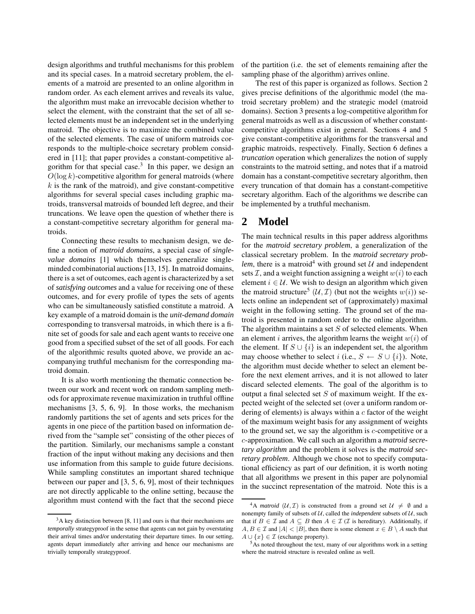design algorithms and truthful mechanisms for this problem and its special cases. In a matroid secretary problem, the elements of a matroid are presented to an online algorithm in random order. As each element arrives and reveals its value, the algorithm must make an irrevocable decision whether to select the element, with the constraint that the set of all selected elements must be an independent set in the underlying matroid. The objective is to maximize the combined value of the selected elements. The case of uniform matroids corresponds to the multiple-choice secretary problem considered in [11]; that paper provides a constant-competitive algorithm for that special case. $3$  In this paper, we design an  $O(\log k)$ -competitive algorithm for general matroids (where  $k$  is the rank of the matroid), and give constant-competitive algorithms for several special cases including graphic matroids, transversal matroids of bounded left degree, and their truncations. We leave open the question of whether there is a constant-competitive secretary algorithm for general matroids.

Connecting these results to mechanism design, we define a notion of *matroid domains*, a special case of *singlevalue domains* [1] which themselves generalize singleminded combinatorial auctions[13, 15]. In matroid domains, there is a set of outcomes, each agent is characterized by a set of *satisfying outcomes* and a value for receiving one of these outcomes, and for every profile of types the sets of agents who can be simultaneously satisfied constitute a matroid. A key example of a matroid domain is the *unit-demand domain* corresponding to transversal matroids, in which there is a finite set of goods for sale and each agent wants to receive one good from a specified subset of the set of all goods. For each of the algorithmic results quoted above, we provide an accompanying truthful mechanism for the corresponding matroid domain.

It is also worth mentioning the thematic connection between our work and recent work on random sampling methods for approximate revenue maximization in truthful offline mechanisms [3, 5, 6, 9]. In those works, the mechanism randomly partitions the set of agents and sets prices for the agents in one piece of the partition based on information derived from the "sample set" consisting of the other pieces of the partition. Similarly, our mechanisms sample a constant fraction of the input without making any decisions and then use information from this sample to guide future decisions. While sampling constitutes an important shared technique between our paper and [3, 5, 6, 9], most of their techniques are not directly applicable to the online setting, because the algorithm must contend with the fact that the second piece of the partition (i.e. the set of elements remaining after the sampling phase of the algorithm) arrives online.

The rest of this paper is organized as follows. Section 2 gives precise definitions of the algorithmic model (the matroid secretary problem) and the strategic model (matroid domains). Section 3 presents a log-competitive algorithm for general matroids as well as a discussion of whether constantcompetitive algorithms exist in general. Sections 4 and 5 give constant-competitive algorithms for the transversal and graphic matroids, respectively. Finally, Section 6 defines a *truncation* operation which generalizes the notion of supply constraints to the matroid setting, and notes that if a matroid domain has a constant-competitive secretary algorithm, then every truncation of that domain has a constant-competitive secretary algorithm. Each of the algorithms we describe can be implemented by a truthful mechanism.

# **2 Model**

The main technical results in this paper address algorithms for the *matroid secretary problem*, a generalization of the classical secretary problem. In the *matroid secretary problem*, there is a matroid<sup>4</sup> with ground set  $U$  and independent sets  $\mathcal{I}$ , and a weight function assigning a weight  $w(i)$  to each element  $i \in \mathcal{U}$ . We wish to design an algorithm which given the matroid structure<sup>5</sup>  $(U, \mathcal{I})$  (but not the weights  $w(i)$ ) selects online an independent set of (approximately) maximal weight in the following setting. The ground set of the matroid is presented in random order to the online algorithm. The algorithm maintains a set  $S$  of selected elements. When an element i arrives, the algorithm learns the weight  $w(i)$  of the element. If  $S \cup \{i\}$  is an independent set, the algorithm may choose whether to select i (i.e.,  $S \leftarrow S \cup \{i\}$ ). Note, the algorithm must decide whether to select an element before the next element arrives, and it is not allowed to later discard selected elements. The goal of the algorithm is to output a final selected set  $S$  of maximum weight. If the expected weight of the selected set (over a uniform random ordering of elements) is always within a  $c$  factor of the weight of the maximum weight basis for any assignment of weights to the ground set, we say the algorithm is  $c$ -competitive or a c-approximation. We call such an algorithm a *matroid secretary algorithm* and the problem it solves is the *matroid secretary problem*. Although we chose not to specify computational efficiency as part of our definition, it is worth noting that all algorithms we present in this paper are polynomial in the succinct representation of the matroid. Note this is a

 $3A$  key distinction between [8, 11] and ours is that their mechanisms are *temporally* strategyproof in the sense that agents can not gain by overstating their arrival times and/or understating their departure times. In our setting, agents depart immediately after arriving and hence our mechanisms are trivially temporally strategyproof.

<sup>&</sup>lt;sup>4</sup>A *matroid* (U, T) is constructed from a ground set  $\mathcal{U} \neq \emptyset$  and a nonempty family of subsets of  $U$ , called the *independent* subsets of  $U$ , such that if  $B \in \mathcal{I}$  and  $A \subseteq B$  then  $A \in \mathcal{I}(\mathcal{I}$  is hereditary). Additionally, if  $A, B \in \mathcal{I}$  and  $|A| < |B|$ , then there is some element  $x \in B \setminus A$  such that  $A \cup \{x\} \in \mathcal{I}$  (exchange property).

 $5$ As noted throughout the text, many of our algorithms work in a setting where the matroid structure is revealed online as well.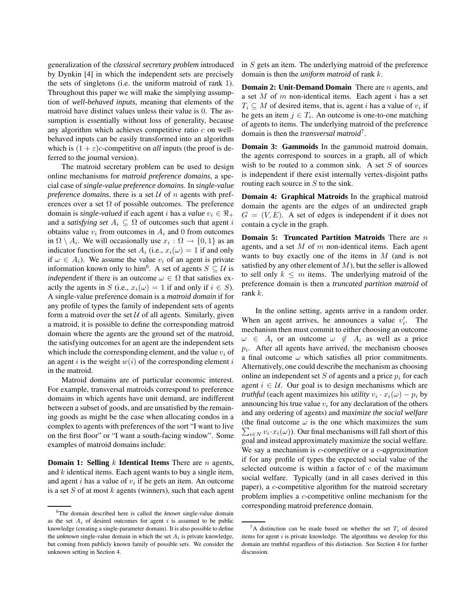generalization of the *classical secretary problem* introduced by Dynkin [4] in which the independent sets are precisely the sets of singletons (i.e. the uniform matroid of rank 1). Throughout this paper we will make the simplying assumption of *well-behaved inputs*, meaning that elements of the matroid have distinct values unless their value is 0. The assumption is essentially without loss of generality, because any algorithm which achieves competitive ratio  $c$  on wellbehaved inputs can be easily transformed into an algorithm which is  $(1 + \varepsilon)c$ -competitive on *all* inputs (the proof is deferred to the journal version).

The matroid secretary problem can be used to design online mechanisms for *matroid preference domains*, a special case of *single-value preference domains*. In *single-value preference domains*, there is a set  $U$  of n agents with preferences over a set  $\Omega$  of possible outcomes. The preference domain is *single-valued* if each agent *i* has a *value*  $v_i \in \Re_+$ and a *satisfying set*  $A_i \subseteq \Omega$  of outcomes such that agent i obtains value  $v_i$  from outcomes in  $A_i$  and 0 from outcomes in  $\Omega \setminus A_i$ . We will occasionally use  $x_i : \Omega \to \{0, 1\}$  as an indicator function for the set  $A_i$  (i.e.,  $x_i(\omega) = 1$  if and only if  $\omega \in A_i$ ). We assume the value  $v_i$  of an agent is private information known only to him<sup>6</sup>. A set of agents  $S \subseteq U$  is *independent* if there is an outcome  $\omega \in \Omega$  that satisfies exactly the agents in S (i.e.,  $x_i(\omega) = 1$  if and only if  $i \in S$ ). A single-value preference domain is a *matroid domain* if for any profile of types the family of independent sets of agents form a matroid over the set  $U$  of all agents. Similarly, given a matroid, it is possible to define the corresponding matroid domain where the agents are the ground set of the matroid, the satisfying outcomes for an agent are the independent sets which include the corresponding element, and the value  $v_i$  of an agent i is the weight  $w(i)$  of the corresponding element i in the matroid.

Matroid domains are of particular economic interest. For example, transversal matroids correspond to preference domains in which agents have unit demand, are indifferent between a subset of goods, and are unsatisfied by the remaining goods as might be the case when allocating condos in a complex to agents with preferences of the sort "I want to live on the first floor" or "I want a south-facing window". Some examples of matroid domains include:

**Domain 1: Selling** k **Identical Items** There are n agents, and  $k$  identical items. Each agent wants to buy a single item, and agent  $i$  has a value of  $v_i$  if he gets an item. An outcome is a set  $S$  of at most  $k$  agents (winners), such that each agent in  $S$  gets an item. The underlying matroid of the preference domain is then the *uniform matroid* of rank k.

**Domain 2: Unit-Demand Domain** There are n agents, and a set  $M$  of  $m$  non-identical items. Each agent  $i$  has a set  $T_i \subseteq M$  of desired items, that is, agent *i* has a value of  $v_i$  if he gets an item  $j \in T_i$ . An outcome is one-to-one matching of agents to items. The underlying matroid of the preference domain is then the *transversal matroid*<sup>7</sup> .

**Domain 3: Gammoids** In the gammoid matroid domain, the agents correspond to sources in a graph, all of which wish to be routed to a common sink. A set  $S$  of sources is independent if there exist internally vertex-disjoint paths routing each source in  $S$  to the sink.

**Domain 4: Graphical Matroids** In the graphical matroid domain the agents are the edges of an undirected graph  $G = (V, E)$ . A set of edges is independent if it does not contain a cycle in the graph.

**Domain 5: Truncated Partition Matroids** There are n agents, and a set  $M$  of  $m$  non-identical items. Each agent wants to buy exactly one of the items in  $M$  (and is not satisfied by any other element of  $M$ ), but the seller is allowed to sell only  $k \leq m$  items. The underlying matroid of the preference domain is then a *truncated partition matroid* of rank k.

In the online setting, agents arrive in a random order. When an agent arrives, he announces a value  $v_i'$ . The mechanism then must commit to either choosing an outcome  $\omega \in A_i$  or an outcome  $\omega \notin A_i$  as well as a price  $p_i$ . After all agents have arrived, the mechanism chooses a final outcome  $\omega$  which satisfies all prior commitments. Alternatively, one could describe the mechanism as choosing online an independent set S of agents and a price  $p_i$  for each agent  $i \in U$ . Our goal is to design mechanisms which are *truthful* (each agent maximizes his *utility*  $v_i \cdot x_i(\omega) - p_i$  by announcing his true value  $v_i$  for any declaration of the others and any ordering of agents) and *maximize the social welfare* (the final outcome  $\omega$  is the one which maximizes the sum  $\sum_{i \in N} v_i \cdot x_i(\omega)$ ). Our final mechanisms will fall short of this goal and instead approximately maximize the social welfare. We say a mechanism is c*-competitive* or a c*-approximation* if for any profile of types the expected social value of the selected outcome is within a factor of  $c$  of the maximum social welfare. Typically (and in all cases derived in this paper), a c-competitive algorithm for the matroid secretary problem implies a c-competitive online mechanism for the corresponding matroid preference domain.

<sup>6</sup>The domain described here is called the *known* single-value domain as the set  $A_i$  of desired outcomes for agent i is assumed to be public knowledge (creating a single-parameter domain). It is also possible to define the *unknown* single-value domain in which the set  $A_i$  is private knowledge, but coming from publicly known family of possible sets. We consider the unknown setting in Section 4.

 ${}^{7}$ A distinction can be made based on whether the set  $T_i$  of desired items for agent  $i$  is private knowledge. The algorithms we develop for this domain are truthful regardless of this distinction. See Section 4 for further discussion.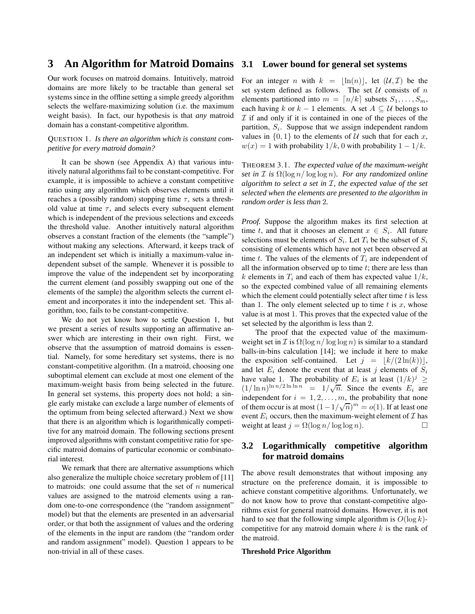## **3 An Algorithm for Matroid Domains**

Our work focuses on matroid domains. Intuitively, matroid domains are more likely to be tractable than general set systems since in the offline setting a simple greedy algorithm selects the welfare-maximizing solution (i.e. the maximum weight basis). In fact, our hypothesis is that *any* matroid domain has a constant-competitive algorithm.

#### QUESTION 1. *Is there an algorithm which is constant competitive for every matroid domain?*

It can be shown (see Appendix A) that various intuitively natural algorithms fail to be constant-competitive. For example, it is impossible to achieve a constant competitive ratio using any algorithm which observes elements until it reaches a (possibly random) stopping time  $\tau$ , sets a threshold value at time  $\tau$ , and selects every subsequent element which is independent of the previous selections and exceeds the threshold value. Another intuitively natural algorithm observes a constant fraction of the elements (the "sample") without making any selections. Afterward, it keeps track of an independent set which is initially a maximum-value independent subset of the sample. Whenever it is possible to improve the value of the independent set by incorporating the current element (and possibly swapping out one of the elements of the sample) the algorithm selects the current element and incorporates it into the independent set. This algorithm, too, fails to be constant-competitive.

We do not yet know how to settle Question 1, but we present a series of results supporting an affirmative answer which are interesting in their own right. First, we observe that the assumption of matroid domains is essential. Namely, for some hereditary set systems, there is no constant-competitive algorithm. (In a matroid, choosing one suboptimal element can exclude at most one element of the maximum-weight basis from being selected in the future. In general set systems, this property does not hold; a single early mistake can exclude a large number of elements of the optimum from being selected afterward.) Next we show that there is an algorithm which is logarithmically competitive for any matroid domain. The following sections present improved algorithms with constant competitive ratio for specific matroid domains of particular economic or combinatorial interest.

We remark that there are alternative assumptions which also generalize the multiple choice secretary problem of [11] to matroids: one could assume that the set of  $n$  numerical values are assigned to the matroid elements using a random one-to-one correspondence (the "random assignment" model) but that the elements are presented in an adversarial order, or that both the assignment of values and the ordering of the elements in the input are random (the "random order and random assignment" model). Question 1 appears to be non-trivial in all of these cases.

#### **3.1 Lower bound for general set systems**

For an integer *n* with  $k = |\ln(n)|$ , let  $(\mathcal{U}, \mathcal{I})$  be the set system defined as follows. The set  $U$  consists of  $n$ elements partitioned into  $m = \lfloor n/k \rfloor$  subsets  $S_1, \ldots, S_m$ , each having k or  $k - 1$  elements. A set  $A \subseteq U$  belongs to  $I$  if and only if it is contained in one of the pieces of the partition,  $S_i$ . Suppose that we assign independent random values in  $\{0, 1\}$  to the elements of U such that for each x,  $w(x) = 1$  with probability  $1/k$ , 0 with probability  $1 - 1/k$ .

THEOREM 3.1. *The expected value of the maximum-weight set* in  $I$  *is*  $\Omega(\log n / \log \log n)$ *. For any randomized online algorithm to select a set in* I*, the expected value of the set selected when the elements are presented to the algorithm in random order is less than* 2*.*

*Proof.* Suppose the algorithm makes its first selection at time t, and that it chooses an element  $x \in S_i$ . All future selections must be elements of  $S_i$ . Let  $T_i$  be the subset of  $S_i$ consisting of elements which have not yet been observed at time t. The values of the elements of  $T_i$  are independent of all the information observed up to time  $t$ ; there are less than k elements in  $T_i$  and each of them has expected value  $1/k$ , so the expected combined value of all remaining elements which the element could potentially select after time  $t$  is less than 1. The only element selected up to time  $t$  is  $x$ , whose value is at most 1. This proves that the expected value of the set selected by the algorithm is less than 2.

The proof that the expected value of the maximumweight set in  $\mathcal I$  is  $\Omega(\log n / \log \log n)$  is similar to a standard balls-in-bins calculation [14]; we include it here to make the exposition self-contained. Let  $j = |k/(2 \ln(k))|$ , and let  $E_i$  denote the event that at least j elements of  $S_i$ have value 1. The probability of  $E_i$  is at least  $(1/k)^j \ge$  $(1/\ln n)^{\ln n/2 \ln \ln n} = 1/\sqrt{n}$ . Since the events  $E_i$  are independent for  $i = 1, 2, \ldots, m$ , the probability that none of them occur is at most  $(1 - 1/\sqrt{n})^m = o(1)$ . If at least one event  $E_i$  occurs, then the maximum-weight element of  $\mathcal I$  has weight at least  $i = \Omega(\log n / \log \log n)$ . weight at least  $j = \Omega(\log n / \log \log n)$ .

### **3.2 Logarithmically competitive algorithm for matroid domains**

The above result demonstrates that without imposing any structure on the preference domain, it is impossible to achieve constant competitive algorithms. Unfortunately, we do not know how to prove that constant-competitive algorithms exist for general matroid domains. However, it is not hard to see that the following simple algorithm is  $O(\log k)$ competitive for any matroid domain where  $k$  is the rank of the matroid.

#### **Threshold Price Algorithm**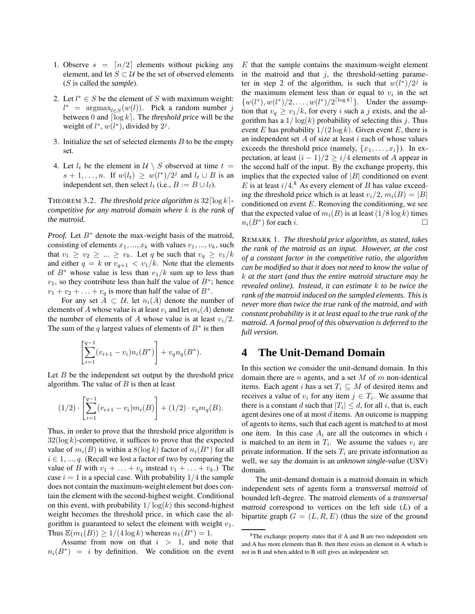- 1. Observe  $s = \lfloor n/2 \rfloor$  elements without picking any element, and let  $S \subset \mathcal{U}$  be the set of observed elements (S is called the *sample*).
- 2. Let  $l^* \in S$  be the element of S with maximum weight:  $l^*$  = argmax<sub>l∈S</sub>(w(l)). Pick a random number j between 0 and  $\lceil \log k \rceil$ . The *threshold price* will be the weight of  $l^*$ ,  $w(l^*)$ , divided by  $2^j$ .
- 3. Initialize the set of selected elements  $B$  to be the empty set.
- 4. Let  $l_t$  be the element in  $\mathcal{U} \setminus S$  observed at time  $t =$  $s + 1, \ldots, n$ . If  $w(l_t) \geq w(l^*)/2^j$  and  $l_t \cup B$  is an independent set, then select  $l_t$  (i.e.,  $B := B \cup l_t$ ).

THEOREM 3.2. *The threshold price algorithm is*  $32 \lceil \log k \rceil$ *competitive for any matroid domain where* k *is the rank of the matroid.*

*Proof.* Let  $B^*$  denote the max-weight basis of the matroid, consisting of elements  $x_1, ..., x_k$  with values  $v_1, ..., v_k$ , such that  $v_1 \ge v_2 \ge ... \ge v_k$ . Let q be such that  $v_q \ge v_1/k$ and either  $q = k$  or  $v_{q+1} < v_1/k$ . Note that the elements of  $B^*$  whose value is less than  $v_1/k$  sum up to less than  $v_1$ , so they contribute less than half the value of  $B^*$ ; hence  $v_1 + v_2 + \ldots + v_q$  is more than half the value of  $B^*$ .

For any set  $A \subset U$ , let  $n_i(A)$  denote the number of elements of A whose value is at least  $v_i$  and let  $m_i(A)$  denote the number of elements of A whose value is at least  $v_i/2$ . The sum of the q largest values of elements of  $B^*$  is then

$$
\left[\sum_{i=1}^{q-1} (v_{i+1} - v_i) n_i(B^*)\right] + v_q n_q(B^*).
$$

Let  $B$  be the independent set output by the threshold price algorithm. The value of  $B$  is then at least

$$
(1/2) \cdot \left[ \sum_{i=1}^{q-1} (v_{i+1} - v_i) m_i(B) \right] + (1/2) \cdot v_q m_q(B).
$$

Thus, in order to prove that the threshold price algorithm is  $32(\log k)$ -competitive, it suffices to prove that the expected value of  $m_i(B)$  is within a  $8(\log k)$  factor of  $n_i(B^*)$  for all  $i \in 1, ..., q$ . (Recall we lost a factor of two by comparing the value of B with  $v_1 + \ldots + v_q$  instead  $v_1 + \ldots + v_k$ .) The case  $i = 1$  is a special case. With probability  $1/4$  the sample does not contain the maximum-weight element but does contain the element with the second-highest weight. Conditional on this event, with probability  $1/\log(k)$  this second-highest weight becomes the threshold price, in which case the algorithm is guaranteed to select the element with weight  $v_1$ . Thus  $\mathbb{E}(m_1(B)) \geq 1/(4 \log k)$  whereas  $n_1(B^*) = 1$ .

Assume from now on that  $i > 1$ , and note that  $n_i(B^*) = i$  by definition. We condition on the event

 $E$  that the sample contains the maximum-weight element in the matroid and that  $j$ , the threshold-setting parameter in step 2 of the algorithm, is such that  $w(l^*)/2^j$  is the maximum element less than or equal to  $v_i$  in the set  $\{w(l^*), w(l^*)/2, \ldots, w(l^*)/2^{\lceil \log k \rceil}\}\.$  Under the assumption that  $v_q \ge v_1/k$ , for every i such a j exists, and the algorithm has a  $1/\log(k)$  probability of selecting this j. Thus event E has probability  $1/(2 \log k)$ . Given event E, there is an independent set  $A$  of size at least  $i$  each of whose values exceeds the threshold price (namely,  $\{x_1, \ldots, x_i\}$ ). In expectation, at least  $(i - 1)/2 \ge i/4$  elements of A appear in the second half of the input. By the exchange property, this implies that the expected value of  $|B|$  conditioned on event E is at least  $i/4$ .<sup>8</sup> As every element of B has value exceeding the threshold price which is at least  $v_i/2$ ,  $m_i(B) = |B|$ conditioned on event  $E$ . Removing the conditioning, we see that the expected value of  $m_i(B)$  is at least  $(1/8 \log k)$  times  $n_i(B^*)$  for each i.

REMARK 1. *The threshold price algorithm, as stated, takes the rank of the matroid as an input. However, at the cost of a constant factor in the competitive ratio, the algorithm can be modified so that it does not need to know the value of* k *at the start (and thus the entire matroid structure may be revealed online). Instead, it can estimate* k *to be twice the rank of the matroid induced on the sampled elements. This is never more than twice the true rank of the matroid, and with constant probability is it at least equal to the true rank of the matroid. A formal proof of this observation is deferred to the full version.*

## **4 The Unit-Demand Domain**

In this section we consider the unit-demand domain. In this domain there are *n* agents, and a set  $M$  of  $m$  non-identical items. Each agent i has a set  $T_i \subseteq M$  of desired items and receives a value of  $v_i$  for any item  $j \in T_i$ . We assume that there is a constant d such that  $|T_i| \leq d$ , for all i, that is, each agent desires one of at most d items. An outcome is mapping of agents to items, such that each agent is matched to at most one item. In this case  $A_i$  are all the outcomes in which i is matched to an item in  $T_i$ . We assume the values  $v_i$  are private information. If the sets  $T_i$  are private information as well, we say the domain is an *unknown single-value* (USV) domain.

The unit-demand domain is a matroid domain in which independent sets of agents form a *transversal matroid* of bounded left-degree. The matroid elements of a *transversal matroid* correspond to vertices on the left side (L) of a bipartite graph  $G = (L, R, E)$  (thus the size of the ground

<sup>8</sup>The exchange property states that if A and B are two independent sets and A has more elements than B, then there exists an element in A which is not in B and when added to B still gives an independent set.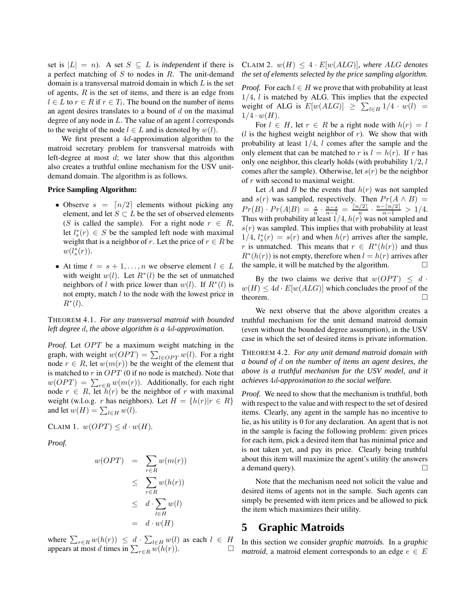set is  $|L| = n$ ). A set  $S \subseteq L$  is *independent* if there is a perfect matching of  $S$  to nodes in  $R$ . The unit-demand domain is a transversal matroid domain in which  $L$  is the set of agents,  $R$  is the set of items, and there is an edge from  $l \in L$  to  $r \in R$  if  $r \in T_l$ . The bound on the number of items an agent desires translates to a bound of  $d$  on the maximal degree of any node in  $L$ . The value of an agent  $l$  corresponds to the weight of the node  $l \in L$  and is denoted by  $w(l)$ .

We first present a 4d-approximation algorithm to the matroid secretary problem for transversal matroids with left-degree at most  $d$ ; we later show that this algorithm also creates a truthful online mechanism for the USV unitdemand domain. The algorithm is as follows.

#### **Price Sampling Algorithm:**

- Observe  $s = \lfloor n/2 \rfloor$  elements without picking any element, and let  $S \subset L$  be the set of observed elements (S is called the sample). For a right node  $r \in R$ , let  $l_s^*(r) \in S$  be the sampled left node with maximal weight that is a neighbor of r. Let the price of  $r \in R$  be  $w(l_s^*(r)).$
- At time  $t = s + 1, \ldots, n$  we observe element  $l \in L$ with weight  $w(l)$ . Let  $R^*(l)$  be the set of unmatched neighbors of l with price lower than  $w(l)$ . If  $R^*(l)$  is not empty, match  $l$  to the node with the lowest price in  $R^*(l)$ .

THEOREM 4.1. *For any transversal matroid with bounded left degree* d*, the above algorithm is a* 4d*-approximation.*

*Proof.* Let OPT be a maximum weight matching in the graph, with weight  $w(OPT) = \sum_{l \in OPT} w(l)$ . For a right node  $r \in R$ , let  $w(m(r))$  be the weight of the element that is matched to  $r$  in  $OPT$  (0 if no node is matched). Note that  $w(OPT) = \sum_{r \in R} w(m(r))$ . Additionally, for each right node  $r \in R$ , let  $\bar{h}(r)$  be the neighbor of r with maximal weight (w.l.o.g. r has neighbors). Let  $H = \{h(r)|r \in R\}$ and let  $w(H) = \sum_{l \in H} w(l)$ .

CLAIM 1.  $w(OPT) \leq d \cdot w(H)$ .

*Proof.*

$$
w(OPT) = \sum_{r \in R} w(m(r))
$$
  
\n
$$
\leq \sum_{r \in R} w(h(r))
$$
  
\n
$$
\leq d \cdot \sum_{l \in H} w(l)
$$
  
\n
$$
= d \cdot w(H)
$$

where  $\sum_{r \in R} w(h(r)) \leq d \cdot \sum_{l \in H} w(l)$  as each  $l \in H$ <br>appears at most d times in  $\sum_{r \in R} w(h(r))$ .

CLAIM 2.  $w(H) \leq 4 \cdot E[w(ALG)]$ *, where ALG denotes the set of elements selected by the price sampling algorithm.*

*Proof.* For each  $l \in H$  we prove that with probability at least  $1/4$ ,  $l$  is matched by ALG. This implies that the expected weight of ALG is  $E[w(ALG)] \ge \sum_{l \in H} 1/4 \cdot w(l) =$  $1/4 \cdot w(H)$ .

For  $l \in H$ , let  $r \in R$  be a right node with  $h(r) = l$  $(l$  is the highest weight neighbor of r). We show that with probability at least  $1/4$ ,  $l$  comes after the sample and the only element that can be matched to r is  $l = h(r)$ . If r has only one neighbor, this clearly holds (with probability  $1/2$ ,  $l$ comes after the sample). Otherwise, let  $s(r)$  be the neighbor of r with second to maximal weight.

Let A and B be the events that  $h(r)$  was not sampled and  $s(r)$  was sampled, respectively. Then  $Pr(A \wedge B)$  =  $Pr(B) \cdot Pr(A|B) = \frac{s}{n} \cdot \frac{n-s}{n-1} = \frac{\lceil n/2 \rceil}{n} \cdot \frac{n - \lceil n/2 \rceil}{n-1} > 1/4.$ Thus with probability at least  $1/4$ ,  $h(r)$  was not sampled and  $s(r)$  was sampled. This implies that with probability at least  $1/4$ ,  $l_s^*(r) = s(r)$  and when  $h(r)$  arrives after the sample, r is unmatched. This means that  $r \in R^*(h(r))$  and thus  $R^*(h(r))$  is not empty, therefore when  $l = h(r)$  arrives after the sample, it will be matched by the algorithm.  $\Box$ 

By the two claims we derive that  $w(OPT) \leq d$ .  $w(H) \le 4d \cdot E[w(ALG)]$  which concludes the proof of the theorem. theorem.

We next observe that the above algorithm creates a truthful mechanism for the unit demand matroid domain (even without the bounded degree assumption), in the USV case in which the set of desired items is private information.

THEOREM 4.2. *For any unit demand matroid domain with a bound of* d *on the number of items an agent desires, the above is a truthful mechanism for the USV model, and it achieves* 4d*-approximation to the social welfare.*

*Proof.* We need to show that the mechanism is truthful, both with respect to the value and with respect to the set of desired items. Clearly, any agent in the sample has no incentive to lie, as his utility is 0 for any declaration. An agent that is not in the sample is facing the following problem: given prices for each item, pick a desired item that has minimal price and is not taken yet, and pay its price. Clearly being truthful about this item will maximize the agent's utility (he answers a demand query).  $\Box$ 

Note that the mechanism need not solicit the value and desired items of agents not in the sample. Such agents can simply be presented with item prices and be allowed to pick the item which maximizes their utility.

# **5 Graphic Matroids**

In this section we consider *graphic matroids*. In a *graphic matroid*, a matroid element corresponds to an edge  $e \in E$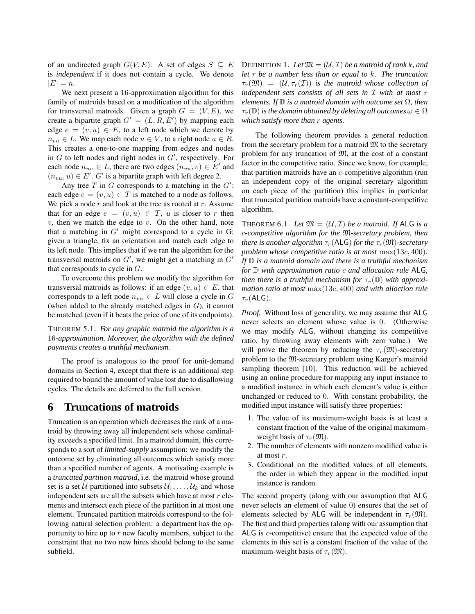of an undirected graph  $G(V, E)$ . A set of edges  $S \subseteq E$ is *independent* if it does not contain a cycle. We denote  $|E| = n$ .

We next present a 16-approximation algorithm for this family of matroids based on a modification of the algorithm for transversal matroids. Given a graph  $G = (V, E)$ , we create a bipartite graph  $G' = (L, R, E')$  by mapping each edge  $e = (v, u) \in E$ , to a left node which we denote by  $n_{vu} \in L$ . We map each node  $u \in V$ , to a right node  $u \in R$ . This creates a one-to-one mapping from edges and nodes in  $G$  to left nodes and right nodes in  $G'$ , respectively. For each node  $n_{uv} \in L$ , there are two edges  $(n_{vu}, v) \in E'$  and  $(n_{vu}, u) \in E'. G'$  is a bipartite graph with left degree 2.

Any tree  $T$  in  $G$  corresponds to a matching in the  $G'$ : each edge  $e = (v, u) \in T$  is matched to a node as follows. We pick a node  $r$  and look at the tree as rooted at  $r$ . Assume that for an edge  $e = (v, u) \in T$ , u is closer to r then  $v$ , then we match the edge to  $v$ . On the other hand, note that a matching in  $G'$  might correspond to a cycle in G: given a triangle, fix an orientation and match each edge to its left node. This implies that if we ran the algorithm for the transversal matroids on  $G'$ , we might get a matching in  $G'$ that corresponds to cycle in G.

To overcome this problem we modify the algorithm for transversal matroids as follows: if an edge  $(v, u) \in E$ , that corresponds to a left node  $n_{vu} \in L$  will close a cycle in G (when added to the already matched edges in G), it cannot be matched (even if it beats the price of one of its endpoints).

THEOREM 5.1. *For any graphic matroid the algorithm is a* 16*-approximation. Moreover, the algorithm with the defined payments creates a truthful mechanism.*

The proof is analogous to the proof for unit-demand domains in Section 4, except that there is an additional step required to bound the amount of value lost due to disallowing cycles. The details are deferred to the full version.

# **6 Truncations of matroids**

Truncation is an operation which decreases the rank of a matroid by throwing away all independent sets whose cardinality exceeds a specified limit. In a matroid domain, this corresponds to a sort of *limited-supply* assumption: we modify the outcome set by eliminating all outcomes which satisfy more than a specified number of agents. A motivating example is a *truncated partition matroid*, i.e. the matroid whose ground set is a set U partitioned into subsets  $U_1, \ldots, U_k$  and whose independent sets are all the subsets which have at most  $r$  elements and intersect each piece of the partition in at most one element. Truncated partition matroids correspond to the following natural selection problem: a department has the opportunity to hire up to  $r$  new faculty members, subject to the constraint that no two new hires should belong to the same subfield.

DEFINITION 1. Let  $\mathfrak{M} = (\mathcal{U}, \mathcal{I})$  *be a matroid of rank k, and let* r *be a number less than or equal to* k*. The truncation*  $\tau_r(\mathfrak{M}) = (\mathcal{U}, \tau_r(\mathcal{I}))$  *is the matroid whose collection of independent sets consists of all sets in* I *with at most* r *elements. If*  $\mathbb{D}$  *is a matroid domain with outcome set*  $\Omega$ *, then*  $\tau_r(\mathbb{D})$  *is the domain obtained by deleting all outcomes*  $\omega \in \Omega$ *which satisfy more than* r *agents.*

The following theorem provides a general reduction from the secretary problem for a matroid  $\mathfrak{M}$  to the secretary problem for any truncation of M, at the cost of a constant factor in the competitive ratio. Since we know, for example, that partition matroids have an  $e$ -competitive algorithm (run an independent copy of the original secretary algorithm on each piece of the partition) this implies in particular that truncated partition matroids have a constant-competitive algorithm.

THEOREM 6.1. Let  $\mathfrak{M} = (\mathcal{U}, \mathcal{I})$  *be a matroid. If* ALG *is a* c*-competitive algorithm for the* M*-secretary problem, then there is another algorithm*  $\tau_r$ (ALG) *for the*  $\tau_r(\mathfrak{M})$ *-secretary problem whose competitive ratio is at most* max(13c, 400). *If* D *is a matroid domain and there is a truthful mechanism for* D *with approximation ratio* c *and allocation rule* ALG*, then there is a truthful mechanism for*  $\tau_r(\mathbb{D})$  *with approximation ratio at most* max(13c, 400) *and with alloction rule*  $\tau_r$ (ALG).

*Proof.* Without loss of generality, we may assume that ALG never selects an element whose value is 0. (Otherwise we may modify ALG, without changing its competitive ratio, by throwing away elements with zero value.) We will prove the theorem by reducing the  $\tau_r(\mathfrak{M})$ -secretary problem to the M-secretary problem using Karger's matroid sampling theorem [10]. This reduction will be achieved using an online procedure for mapping any input instance to a modified instance in which each element's value is either unchanged or reduced to 0. With constant probability, the modified input instance will satisfy three properties:

- 1. The value of its maximum-weight basis is at least a constant fraction of the value of the original maximumweight basis of  $\tau_r(\mathfrak{M})$ .
- 2. The number of elements with nonzero modified value is at most r.
- 3. Conditional on the modified values of all elements, the order in which they appear in the modified input instance is random.

The second property (along with our assumption that ALG never selects an element of value 0) ensures that the set of elements selected by ALG will be independent in  $\tau_r(\mathfrak{M})$ . The first and third properties (along with our assumption that ALG is c-competitive) ensure that the expected value of the elements in this set is a constant fraction of the value of the maximum-weight basis of  $\tau_r(\mathfrak{M})$ .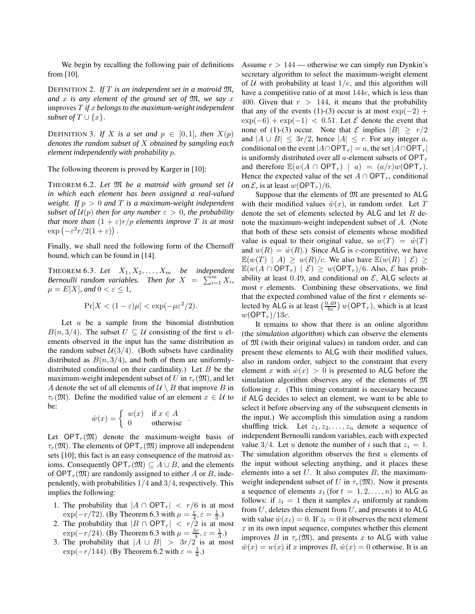We begin by recalling the following pair of definitions from [10].

DEFINITION 2. *If* T *is an independent set in a matroid* M*, and* x *is any element of the ground set of* M*, we say* x improves T *if* x *belongs to the maximum-weight independent subset of*  $T \cup \{x\}$ .

DEFINITION 3. If X is a set and  $p \in [0,1]$ , then  $X(p)$ *denotes the random subset of* X *obtained by sampling each element independently with probability* p*.*

The following theorem is proved by Karger in [10]:

<sup>T</sup>HEOREM 6.2. *Let* <sup>M</sup> *be <sup>a</sup> matroid with ground set* <sup>U</sup> *in which each element has been assigned a real-valued weight. If*  $p > 0$  *and*  $T$  *is a maximum-weight independent subset of*  $U(p)$  *then for any number*  $\varepsilon > 0$ *, the probability that more than*  $(1 + \varepsilon)r/p$  *elements improve* T *is at most*  $\exp(-\varepsilon^2 r/2(1+\varepsilon))$ .

Finally, we shall need the following form of the Chernoff bound, which can be found in [14].

THEOREM 6.3. Let  $X_1, X_2, \ldots, X_m$  be independent *Bernoulli random variables.* Then for  $X = \sum_{i=1}^{m} X_i$ ,  $\mu = E[X]$ *, and*  $0 < \varepsilon \leq 1$ *,* 

$$
\Pr[X < (1 - \varepsilon)\mu] < \exp(-\mu \varepsilon^2/2).
$$

Let  $u$  be a sample from the binomial distribution  $B(n, 3/4)$ . The subset  $U \subseteq U$  consisting of the first u elements observed in the input has the same distribution as the random subset  $U(3/4)$ . (Both subsets have cardinality distributed as  $B(n, 3/4)$ , and both of them are uniformlydistributed conditional on their cardinality.) Let  $B$  be the maximum-weight independent subset of U in  $\tau_r(\mathfrak{M})$ , and let A denote the set of all elements of  $U \setminus B$  that improve B in  $\tau_r(\mathfrak{M})$ . Define the modified value of an element  $x \in \mathcal{U}$  to be:

$$
\hat{w}(x) = \begin{cases} w(x) & \text{if } x \in A \\ 0 & \text{otherwise} \end{cases}.
$$

Let  $OPT_r(\mathfrak{M})$  denote the maximum-weight basis of  $\tau_r(\mathfrak{M})$ . The elements of OPT<sub>r</sub> $(\mathfrak{M})$  improve all independent sets [10]; this fact is an easy consequence of the matroid axioms. Consequently OPT<sub>r</sub> $(\mathfrak{M}) \subseteq A \cup B$ , and the elements of OPT<sub>r</sub> $(\mathfrak{M})$  are randomly assigned to either A or B, independently, with probabilities  $1/4$  and  $3/4$ , respectively. This implies the following:

- 1. The probability that  $|A \cap \text{OPT}_r| \leq r/6$  is at most  $\exp(-r/72)$ . (By Theorem 6.3 with  $\mu = \frac{r}{4}, \varepsilon = \frac{1}{3}$ .)
- 2. The probability that  $|B \cap \text{OPT}_r| \leq r/2$  is at most  $\exp(-r/24)$ . (By Theorem 6.3 with  $\mu = \frac{3r}{4}, \varepsilon = \frac{1}{3}$ .)
- 3. The probability that  $|A \cup B| > 3r/2$  is at most  $\exp(-r/144)$ . (By Theorem 6.2 with  $\varepsilon = \frac{1}{8}$ .)

Assume  $r > 144$  — otherwise we can simply run Dynkin's secretary algorithm to select the maximum-weight element of U with probability at least  $1/e$ , and this algorithm will have a competitive ratio of at most 144e, which is less than 400. Given that  $r > 144$ , it means that the probability that any of the events (1)-(3) occur is at most  $\exp(-2)$  +  $\exp(-6) + \exp(-1) < 0.51$ . Let *E* denote the event that none of (1)-(3) occur. Note that  $\mathcal E$  implies  $|B| \ge r/2$ and  $|A \cup B| \leq 3r/2$ , hence  $|A| \leq r$ . For any integer a, conditional on the event  $|A \cap \text{OPT}_r| = a$ , the set  $|A \cap \text{OPT}_r|$ is uniformly distributed over all a-element subsets of  $OPT_r$ and therefore  $\mathbb{E}(w(A \cap \text{OPT}_r) | a) = (a/r)w(\text{OPT}_r)$ . Hence the expected value of the set  $A \cap \text{OPT}_r$ , conditional on  $\mathcal{E}$ , is at least  $w(\text{OPT}_r)/6$ .

Suppose that the elements of  $\mathfrak{M}$  are presented to ALG with their modified values  $\hat{w}(x)$ , in random order. Let T denote the set of elements selected by  $ALG$  and let  $R$  denote the maximum-weight independent subset of A. (Note that both of these sets consist of elements whose modified value is equal to their original value, so  $w(T) = \hat{w}(T)$ and  $w(R) = \hat{w}(R)$ .) Since ALG is c-competitive, we have  $\mathbb{E}(w(T) | A) \geq w(R)/c$ . We also have  $\mathbb{E}(w(R) | \mathcal{E}) \geq$  $\mathbb{E}(w(A \cap \text{OPT}_r) | \mathcal{E}) \geq w(\text{OPT}_r)/6$ . Also,  $\mathcal E$  has probability at least 0.49, and conditional on  $\mathcal{E}$ , ALG selects at most  $r$  elements. Combining these observations, we find that the expected combined value of the first  $r$  elements selected by ALG is at least  $\left(\frac{0.49}{6c}\right) w(OPT_r)$ , which is at least  $w(\mathsf{OPT}_r)/13c$ .

It remains to show that there is an online algorithm (the *simulation algorithm*) which can observe the elements of M (with their original values) in random order, and can present these elements to ALG with their modified values, also in random order, subject to the constraint that every element x with  $\hat{w}(x) > 0$  is presented to ALG before the simulation algorithm observes any of the elements of  $\mathfrak M$ following  $x$ . (This timing constraint is necessary because if ALG decides to select an element, we want to be able to select it before observing any of the subsequent elements in the input.) We accomplish this simulation using a random shuffling trick. Let  $z_1, z_2, \ldots, z_n$  denote a sequence of independent Bernoulli random variables, each with expected value 3/4. Let u denote the number of i such that  $z_i = 1$ . The simulation algorithm observes the first  $u$  elements of the input without selecting anything, and it places these elements into a set  $U$ . It also computes  $B$ , the maximumweight independent subset of U in  $\tau_r(\mathfrak{M})$ . Now it presents a sequence of elements  $x_t$  (for  $t = 1, 2, \ldots, n$ ) to ALG as follows: if  $z_t = 1$  then it samples  $x_t$  uniformly at random from  $U$ , deletes this element from  $U$ , and presents it to ALG with value  $\hat{w}(x_t) = 0$ . If  $z_t = 0$  it observes the next element  $x$  in its own input sequence, computes whether this element improves B in  $\tau_r(\mathfrak{M})$ , and presents x to ALG with value  $\hat{w}(x) = w(x)$  if x improves B,  $\hat{w}(x) = 0$  otherwise. It is an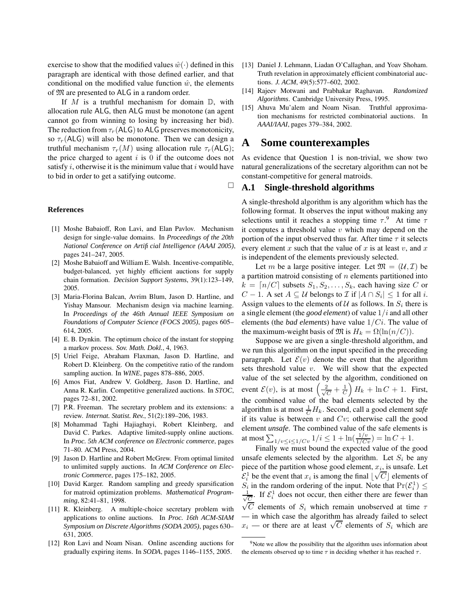exercise to show that the modified values  $\hat{w}(\cdot)$  defined in this paragraph are identical with those defined earlier, and that conditional on the modified value function  $\hat{w}$ , the elements of M are presented to ALG in a random order.

If  $M$  is a truthful mechanism for domain  $\mathbb{D}$ , with allocation rule ALG, then ALG must be monotone (an agent cannot go from winning to losing by increasing her bid). The reduction from  $\tau_r$ (ALG) to ALG preserves monotonicity, so  $\tau_r(A\mathsf{LG})$  will also be monotone. Then we can design a truthful mechanism  $\tau_r(M)$  using allocation rule  $\tau_r(\mathsf{ALG});$ the price charged to agent  $i$  is 0 if the outcome does not satisfy  $i$ , otherwise it is the minimum value that  $i$  would have to bid in order to get a satifying outcome.

 $\Box$ 

#### **References**

- [1] Moshe Babaioff, Ron Lavi, and Elan Pavlov. Mechanism design for single-value domains. In *Proceedings of the 20th National Conference on Artificial Intelligence (AAAI 2005)*, pages 241–247, 2005.
- [2] Moshe Babaioff and William E. Walsh. Incentive-compatible, budget-balanced, yet highly efficient auctions for supply chain formation. *Decision Support Systems*, 39(1):123–149, 2005.
- [3] Maria-Florina Balcan, Avrim Blum, Jason D. Hartline, and Yishay Mansour. Mechanism design via machine learning. In *Proceedings of the 46th Annual IEEE Symposium on Foundations of Computer Science (FOCS 2005)*, pages 605– 614, 2005.
- [4] E. B. Dynkin. The optimum choice of the instant for stopping a markov process. *Sov. Math. Dokl.*, 4, 1963.
- [5] Uriel Feige, Abraham Flaxman, Jason D. Hartline, and Robert D. Kleinberg. On the competitive ratio of the random sampling auction. In *WINE*, pages 878–886, 2005.
- [6] Amos Fiat, Andrew V. Goldberg, Jason D. Hartline, and Anna R. Karlin. Competitive generalized auctions. In *STOC*, pages 72–81, 2002.
- [7] P.R. Freeman. The secretary problem and its extensions: a review. *Internat. Statist. Rev.*, 51(2):189–206, 1983.
- [8] Mohammad Taghi Hajiaghayi, Robert Kleinberg, and David C. Parkes. Adaptive limited-supply online auctions. In *Proc. 5th ACM conference on Electronic commerce*, pages 71–80. ACM Press, 2004.
- [9] Jason D. Hartline and Robert McGrew. From optimal limited to unlimited supply auctions. In *ACM Conference on Electronic Commerce*, pages 175–182, 2005.
- [10] David Karger. Random sampling and greedy sparsification for matroid optimization problems. *Mathematical Programming*, 82:41–81, 1998.
- [11] R. Kleinberg. A multiple-choice secretary problem with applications to online auctions. In *Proc. 16th ACM-SIAM Symposium on Discrete Algorithms (SODA 2005)*, pages 630– 631, 2005.
- [12] Ron Lavi and Noam Nisan. Online ascending auctions for gradually expiring items. In *SODA*, pages 1146–1155, 2005.
- [13] Daniel J. Lehmann, Liadan O'Callaghan, and Yoav Shoham. Truth revelation in approximately efficient combinatorial auctions. *J. ACM*, 49(5):577–602, 2002.
- [14] Rajeev Motwani and Prabhakar Raghavan. *Randomized Algorithms*. Cambridge University Press, 1995.
- [15] Ahuva Mu'alem and Noam Nisan. Truthful approximation mechanisms for restricted combinatorial auctions. In *AAAI/IAAI*, pages 379–384, 2002.

### **A Some counterexamples**

As evidence that Question 1 is non-trivial, we show two natural generalizations of the secretary algorithm can not be constant-competitive for general matroids.

#### **A.1 Single-threshold algorithms**

A single-threshold algorithm is any algorithm which has the following format. It observes the input without making any selections until it reaches a stopping time  $\tau$ <sup>9</sup>. At time  $\tau$ it computes a threshold value  $v$  which may depend on the portion of the input observed thus far. After time  $\tau$  it selects every element x such that the value of x is at least v, and x is independent of the elements previously selected.

Let m be a large positive integer. Let  $\mathfrak{M} = (\mathcal{U}, \mathcal{I})$  be a partition matroid consisting of  $n$  elements partitioned into  $k = \lfloor n/C \rfloor$  subsets  $S_1, S_2, \ldots, S_k$ , each having size C or  $C - 1$ . A set  $A \subseteq U$  belongs to  $\mathcal{I}$  if  $|A \cap S_i| \leq 1$  for all i. Assign values to the elements of  $U$  as follows. In  $S_i$  there is a single element (the *good element*) of value 1/i and all other elements (the *bad elements*) have value 1/Ci. The value of the maximum-weight basis of  $\mathfrak{M}$  is  $H_k = \Omega(\ln(n/C)).$ 

Suppose we are given a single-threshold algorithm, and we run this algorithm on the input specified in the preceding paragraph. Let  $\mathcal{E}(v)$  denote the event that the algorithm sets threshold value  $v$ . We will show that the expected value of the set selected by the algorithm, conditioned on event  $\mathcal{E}(v)$ , is at most  $\left(\frac{2}{\sqrt{v}}\right)$  $\frac{2}{\overline{C}} + \frac{1}{C} H_k + \ln C + 1$ . First, the combined value of the bad elements selected by the algorithm is at most  $\frac{1}{C}H_k$ . Second, call a good element *safe* if its value is between  $v$  and  $Cv$ ; otherwise call the good element *unsafe*. The combined value of the safe elements is at most  $\sum_{1/v \leq i \leq 1/Cv} 1/i \leq 1 + \ln(\frac{1/v}{1/Cv}) = \ln C + 1.$ 

Finally we must bound the expected value of the good unsafe elements selected by the algorithm. Let  $S_i$  be any piece of the partition whose good element,  $x_i$ , is unsafe. Let Figure of the partition whose good cleaner,  $x_i$ , is ansately located by  $C_i^1$  be the event that  $x_i$  is among the final  $\lfloor \sqrt{C} \rfloor$  elements of  $S_i$  in the random ordering of the input. Note that  $Pr(\mathcal{E}_i^1) \le$ √ 1  $\frac{1}{C}$ . If  $\mathcal{E}_i^1$  does not occur, then either there are fewer than  $\sqrt{\frac{C}{C}}$  elements of  $S_i$  which remain unobserved at time  $\tau$ — in which case the algorithm has already failed to select  $x_i$  — or there are at least  $\sqrt{C}$  elements of  $S_i$  which are

<sup>&</sup>lt;sup>9</sup>Note we allow the possibility that the algorithm uses information about the elements observed up to time  $\tau$  in deciding whether it has reached  $\tau$ .